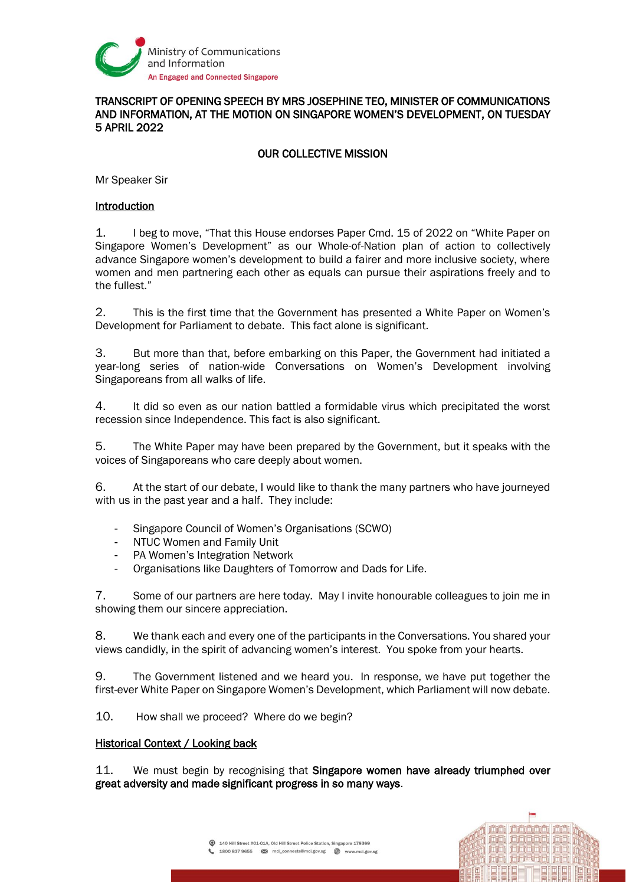

## TRANSCRIPT OF OPENING SPEECH BY MRS JOSEPHINE TEO, MINISTER OF COMMUNICATIONS AND INFORMATION, AT THE MOTION ON SINGAPORE WOMEN'S DEVELOPMENT, ON TUESDAY 5 APRIL 2022

# OUR COLLECTIVE MISSION

Mr Speaker Sir

### Introduction

1. I beg to move, "That this House endorses Paper Cmd. 15 of 2022 on "White Paper on Singapore Women's Development" as our Whole-of-Nation plan of action to collectively advance Singapore women's development to build a fairer and more inclusive society, where women and men partnering each other as equals can pursue their aspirations freely and to the fullest."

2. This is the first time that the Government has presented a White Paper on Women's Development for Parliament to debate. This fact alone is significant.

3. But more than that, before embarking on this Paper, the Government had initiated a year-long series of nation-wide Conversations on Women's Development involving Singaporeans from all walks of life.

4. It did so even as our nation battled a formidable virus which precipitated the worst recession since Independence. This fact is also significant.

5. The White Paper may have been prepared by the Government, but it speaks with the voices of Singaporeans who care deeply about women.

6. At the start of our debate, I would like to thank the many partners who have journeyed with us in the past year and a half. They include:

- Singapore Council of Women's Organisations (SCWO)
- NTUC Women and Family Unit
- PA Women's Integration Network
- Organisations like Daughters of Tomorrow and Dads for Life.

7. Some of our partners are here today. May I invite honourable colleagues to join me in showing them our sincere appreciation.

8. We thank each and every one of the participants in the Conversations. You shared your views candidly, in the spirit of advancing women's interest. You spoke from your hearts.

9. The Government listened and we heard you. In response, we have put together the first-ever White Paper on Singapore Women's Development, which Parliament will now debate.

10. How shall we proceed? Where do we begin?

#### Historical Context / Looking back

11. We must begin by recognising that Singapore women have already triumphed over great adversity and made significant progress in so many ways.

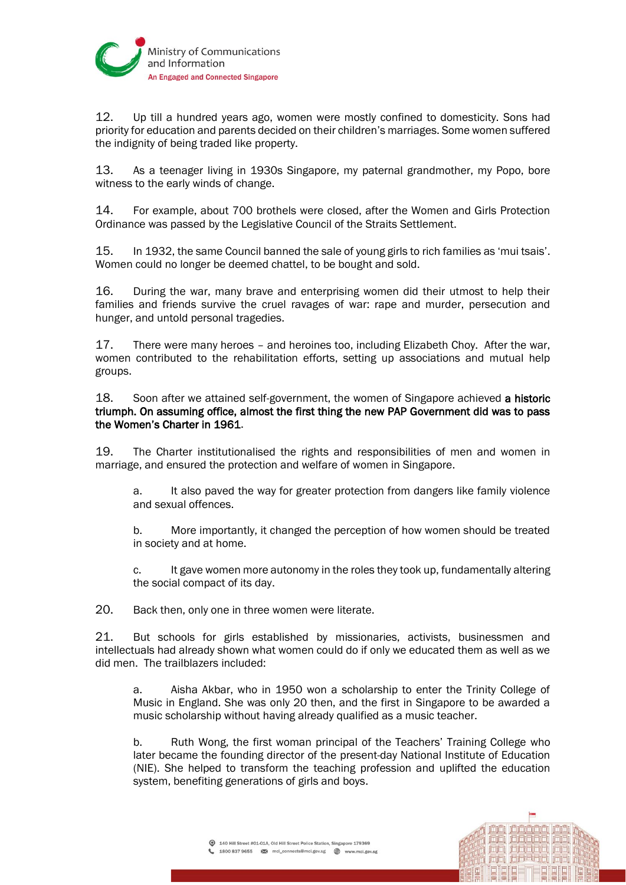

12. Up till a hundred years ago, women were mostly confined to domesticity. Sons had priority for education and parents decided on their children's marriages. Some women suffered the indignity of being traded like property.

13. As a teenager living in 1930s Singapore, my paternal grandmother, my Popo, bore witness to the early winds of change.

14. For example, about 700 brothels were closed, after the Women and Girls Protection Ordinance was passed by the Legislative Council of the Straits Settlement.

15. In 1932, the same Council banned the sale of young girls to rich families as 'mui tsais'. Women could no longer be deemed chattel, to be bought and sold.

16. During the war, many brave and enterprising women did their utmost to help their families and friends survive the cruel ravages of war: rape and murder, persecution and hunger, and untold personal tragedies.

17. There were many heroes – and heroines too, including Elizabeth Choy. After the war, women contributed to the rehabilitation efforts, setting up associations and mutual help groups.

18. Soon after we attained self-government, the women of Singapore achieved a historic triumph. On assuming office, almost the first thing the new PAP Government did was to pass the Women's Charter in 1961.

19. The Charter institutionalised the rights and responsibilities of men and women in marriage, and ensured the protection and welfare of women in Singapore.

a. It also paved the way for greater protection from dangers like family violence and sexual offences.

b. More importantly, it changed the perception of how women should be treated in society and at home.

c. It gave women more autonomy in the roles they took up, fundamentally altering the social compact of its day.

20. Back then, only one in three women were literate.

21. But schools for girls established by missionaries, activists, businessmen and intellectuals had already shown what women could do if only we educated them as well as we did men. The trailblazers included:

a. Aisha Akbar, who in 1950 won a scholarship to enter the Trinity College of Music in England. She was only 20 then, and the first in Singapore to be awarded a music scholarship without having already qualified as a music teacher.

b. Ruth Wong, the first woman principal of the Teachers' Training College who later became the founding director of the present-day National Institute of Education (NIE). She helped to transform the teaching profession and uplifted the education system, benefiting generations of girls and boys.

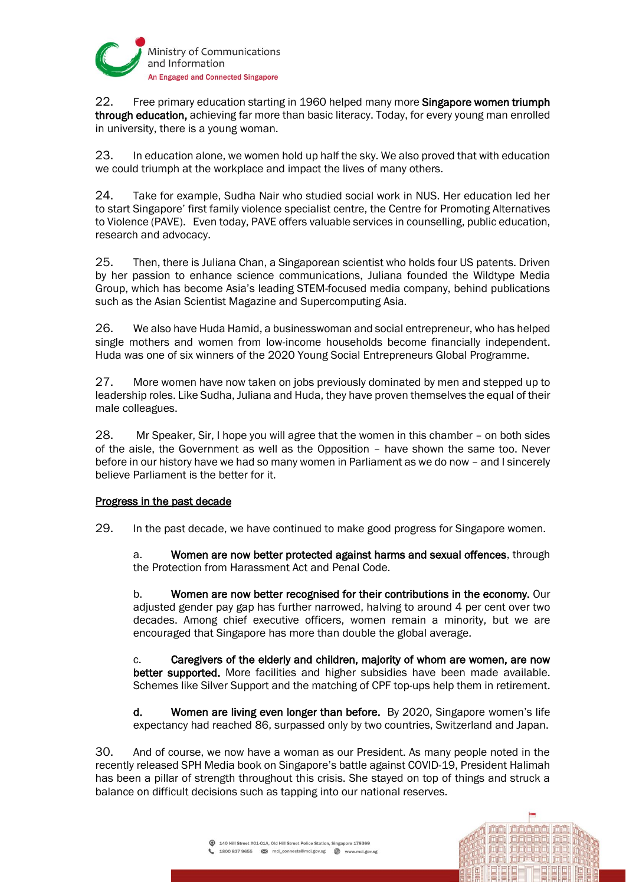

22. Free primary education starting in 1960 helped many more **Singapore women triumph** through education, achieving far more than basic literacy. Today, for every young man enrolled in university, there is a young woman.

23. In education alone, we women hold up half the sky. We also proved that with education we could triumph at the workplace and impact the lives of many others.

24. Take for example, Sudha Nair who studied social work in NUS. Her education led her to start Singapore' first family violence specialist centre, the Centre for Promoting Alternatives to Violence (PAVE). Even today, PAVE offers valuable services in counselling, public education, research and advocacy.

25. Then, there is Juliana Chan, a Singaporean scientist who holds four US patents. Driven by her passion to enhance science communications, Juliana founded the Wildtype Media Group, which has become Asia's leading STEM-focused media company, behind publications such as the Asian Scientist Magazine and Supercomputing Asia.

26. We also have Huda Hamid, a businesswoman and social entrepreneur, who has helped single mothers and women from low-income households become financially independent. Huda was one of six winners of the 2020 Young Social Entrepreneurs Global Programme.

27. More women have now taken on jobs previously dominated by men and stepped up to leadership roles. Like Sudha, Juliana and Huda, they have proven themselves the equal of their male colleagues.

28. Mr Speaker, Sir, I hope you will agree that the women in this chamber – on both sides of the aisle, the Government as well as the Opposition – have shown the same too. Never before in our history have we had so many women in Parliament as we do now – and I sincerely believe Parliament is the better for it.

# Progress in the past decade

29. In the past decade, we have continued to make good progress for Singapore women.

a. Women are now better protected against harms and sexual offences, through the Protection from Harassment Act and Penal Code.

b. Women are now better recognised for their contributions in the economy. Our adjusted gender pay gap has further narrowed, halving to around 4 per cent over two decades. Among chief executive officers, women remain a minority, but we are encouraged that Singapore has more than double the global average.

c. Caregivers of the elderly and children, majority of whom are women, are now better supported. More facilities and higher subsidies have been made available. Schemes like Silver Support and the matching of CPF top-ups help them in retirement.

d. Women are living even longer than before. By 2020, Singapore women's life expectancy had reached 86, surpassed only by two countries, Switzerland and Japan.

30. And of course, we now have a woman as our President. As many people noted in the recently released SPH Media book on Singapore's battle against COVID-19, President Halimah has been a pillar of strength throughout this crisis. She stayed on top of things and struck a balance on difficult decisions such as tapping into our national reserves.

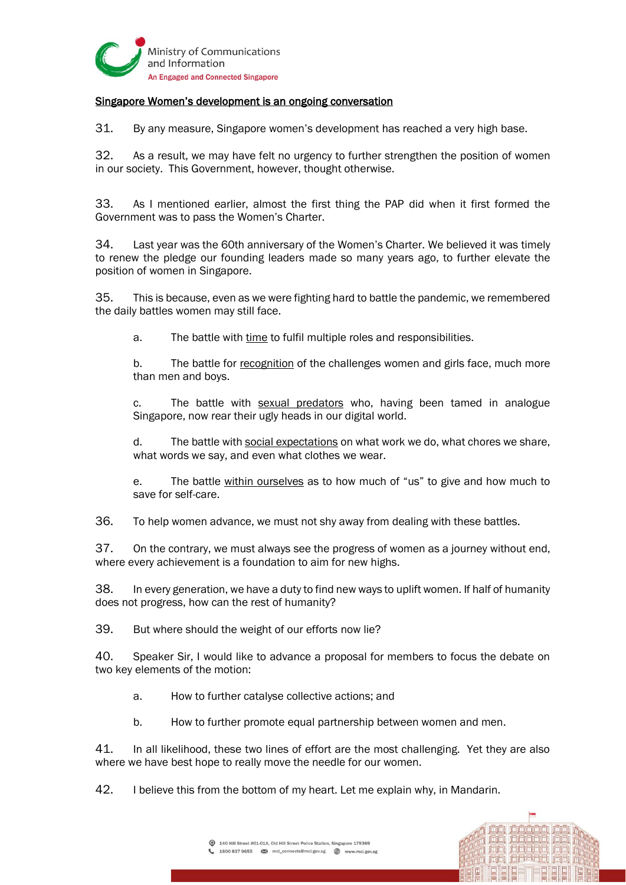

# Singapore Women's development is an ongoing conversation

31. By any measure, Singapore women's development has reached a very high base.

32. As a result, we may have felt no urgency to further strengthen the position of women in our society. This Government, however, thought otherwise.

33. As I mentioned earlier, almost the first thing the PAP did when it first formed the Government was to pass the Women's Charter.

34. Last year was the 60th anniversary of the Women's Charter. We believed it was timely to renew the pledge our founding leaders made so many years ago, to further elevate the position of women in Singapore.

35. This is because, even as we were fighting hard to battle the pandemic, we remembered the daily battles women may still face.

a. The battle with time to fulfil multiple roles and responsibilities.

b. The battle for recognition of the challenges women and girls face, much more than men and boys.

c. The battle with sexual predators who, having been tamed in analogue Singapore, now rear their ugly heads in our digital world.

d. The battle with social expectations on what work we do, what chores we share, what words we say, and even what clothes we wear.

e. The battle within ourselves as to how much of "us" to give and how much to save for self-care.

36. To help women advance, we must not shy away from dealing with these battles.

37. On the contrary, we must always see the progress of women as a journey without end, where every achievement is a foundation to aim for new highs.

38. In every generation, we have a duty to find new ways to uplift women. If half of humanity does not progress, how can the rest of humanity?

39. But where should the weight of our efforts now lie?

40. Speaker Sir, I would like to advance a proposal for members to focus the debate on two key elements of the motion:

- a. How to further catalyse collective actions; and
- b. How to further promote equal partnership between women and men.

41. In all likelihood, these two lines of effort are the most challenging. Yet they are also where we have best hope to really move the needle for our women.

42. I believe this from the bottom of my heart. Let me explain why, in Mandarin.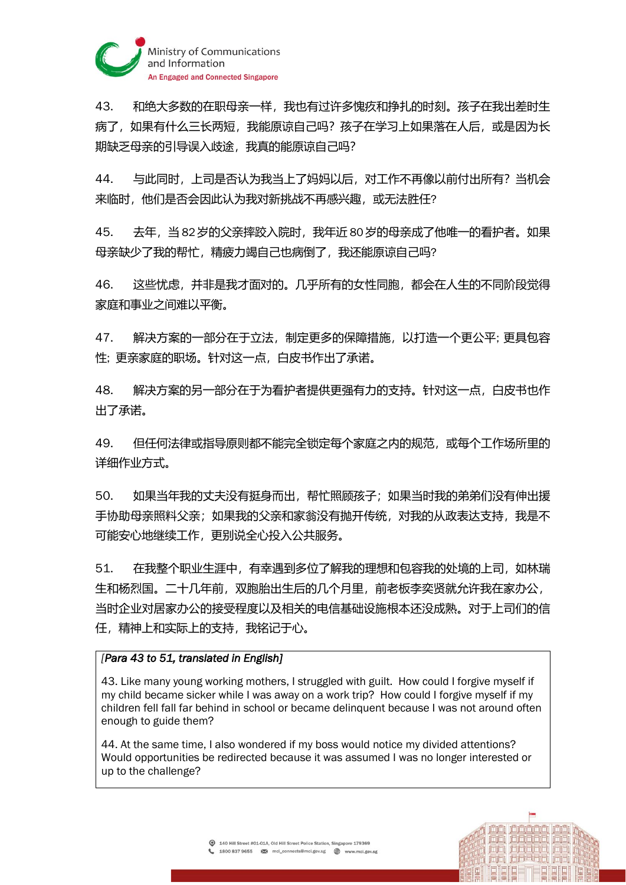

43. 和绝大多数的在职母亲一样,我也有过许多愧疚和挣扎的时刻。孩子在我出差时生 病了,如果有什么三长两短,我能原谅自己吗?孩子在学习上如果落在人后,或是因为长 期缺乏母亲的引导误入歧途,我真的能原谅自己吗?

44. 与此同时,上司是否认为我当上了妈妈以后,对工作不再像以前付出所有?当机会 来临时,他们是否会因此认为我对新挑战不再感兴趣,或无法胜任?

45. 去年,当 82岁的父亲摔跤入院时,我年近 80岁的母亲成了他唯一的看护者。如果 母亲缺少了我的帮忙,精疲力竭自己也病倒了,我还能原谅自己吗?

46. 这些忧虑,并非是我才面对的。几乎所有的女性同胞,都会在人生的不同阶段觉得 家庭和事业之间难以平衡。

47. 解决方案的一部分在于立法,制定更多的保障措施,以打造一个更公平; 更具包容 性; 更亲家庭的职场。针对这一点,白皮书作出了承诺。

48. 解决方案的另一部分在于为看护者提供更强有力的支持。针对这一点,白皮书也作 出了承诺。

49. 但任何法律或指导原则都不能完全锁定每个家庭之内的规范,或每个工作场所里的 详细作业方式。

50. 如果当年我的丈夫没有挺身而出,帮忙照顾孩子;如果当时我的弟弟们没有伸出援 手协助母亲照料父亲;如果我的父亲和家翁没有抛开传统,对我的从政表达支持,我是不 可能安心地继续工作,更别说全心投入公共服务。

51. 在我整个职业生涯中,有幸遇到多位了解我的理想和包容我的处境的上司,如林瑞 生和杨烈国。二十几年前,双胞胎出生后的几个月里,前老板李奕贤就允许我在家办公, 当时企业对居家办公的接受程度以及相关的电信基础设施根本还没成熟。对于上司们的信 任,精神上和实际上的支持,我铭记于心。

## *[Para 43 to 51, translated in English]*

43. Like many young working mothers, I struggled with guilt. How could I forgive myself if my child became sicker while I was away on a work trip? How could I forgive myself if my children fell fall far behind in school or became delinquent because I was not around often enough to guide them?

44. At the same time, I also wondered if my boss would notice my divided attentions? Would opportunities be redirected because it was assumed I was no longer interested or up to the challenge?

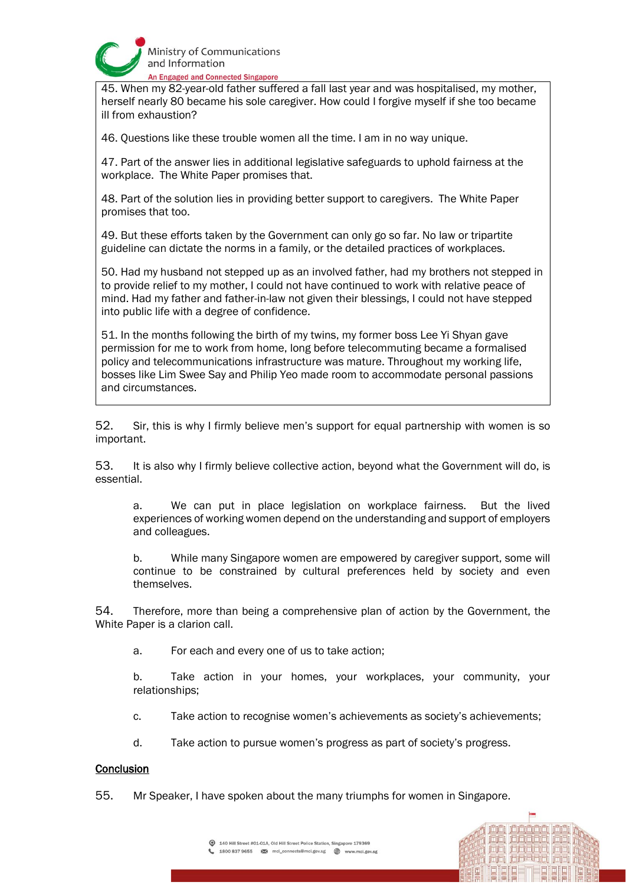

45. When my 82-year-old father suffered a fall last year and was hospitalised, my mother, herself nearly 80 became his sole caregiver. How could I forgive myself if she too became ill from exhaustion?

46. Questions like these trouble women all the time. I am in no way unique.

47. Part of the answer lies in additional legislative safeguards to uphold fairness at the workplace. The White Paper promises that.

48. Part of the solution lies in providing better support to caregivers. The White Paper promises that too.

49. But these efforts taken by the Government can only go so far. No law or tripartite guideline can dictate the norms in a family, or the detailed practices of workplaces.

50. Had my husband not stepped up as an involved father, had my brothers not stepped in to provide relief to my mother, I could not have continued to work with relative peace of mind. Had my father and father-in-law not given their blessings, I could not have stepped into public life with a degree of confidence.

51. In the months following the birth of my twins, my former boss Lee Yi Shyan gave permission for me to work from home, long before telecommuting became a formalised policy and telecommunications infrastructure was mature. Throughout my working life, bosses like Lim Swee Say and Philip Yeo made room to accommodate personal passions and circumstances.

52. Sir, this is why I firmly believe men's support for equal partnership with women is so important.

53. It is also why I firmly believe collective action, beyond what the Government will do, is essential.

a. We can put in place legislation on workplace fairness. But the lived experiences of working women depend on the understanding and support of employers and colleagues.

b. While many Singapore women are empowered by caregiver support, some will continue to be constrained by cultural preferences held by society and even themselves.

54. Therefore, more than being a comprehensive plan of action by the Government, the White Paper is a clarion call.

a. For each and every one of us to take action;

b. Take action in your homes, your workplaces, your community, your relationships;

c. Take action to recognise women's achievements as society's achievements;

d. Take action to pursue women's progress as part of society's progress.

## **Conclusion**

55. Mr Speaker, I have spoken about the many triumphs for women in Singapore.